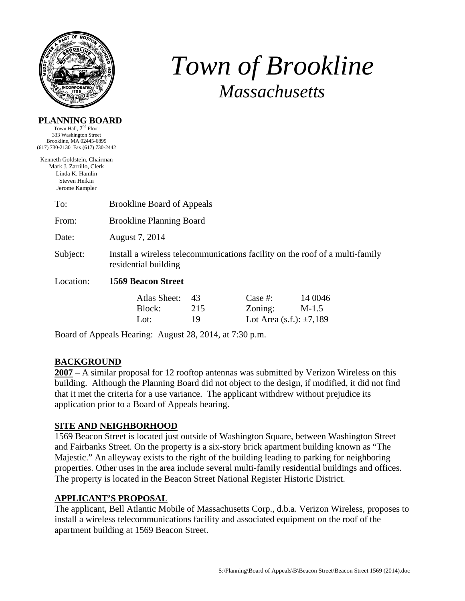

# *Town of Brookline Massachusetts*

#### **PLANNING BOARD**

Town Hall,  $2<sup>nd</sup>$  Floor 333 Washington Street Brookline, MA 02445-6899 (617) 730-2130 Fax (617) 730-2442

Kenneth Goldstein, Chairman Mark J. Zarrillo, Clerk Linda K. Hamlin Steven Heikin Jerome Kampler

| To:       | <b>Brookline Board of Appeals</b>                                                                    |                 |                                                     |                    |  |
|-----------|------------------------------------------------------------------------------------------------------|-----------------|-----------------------------------------------------|--------------------|--|
| From:     | <b>Brookline Planning Board</b>                                                                      |                 |                                                     |                    |  |
| Date:     | August 7, 2014                                                                                       |                 |                                                     |                    |  |
| Subject:  | Install a wireless telecommunications facility on the roof of a multi-family<br>residential building |                 |                                                     |                    |  |
| Location: | <b>1569 Beacon Street</b>                                                                            |                 |                                                     |                    |  |
|           | Atlas Sheet:<br>Block:<br>Lot:                                                                       | 43<br>215<br>19 | Case  #:<br>Zoning:<br>Lot Area (s.f.): $\pm 7,189$ | 14 0046<br>$M-1.5$ |  |

Board of Appeals Hearing: August 28, 2014, at 7:30 p.m.

# **BACKGROUND**

**2007** – A similar proposal for 12 rooftop antennas was submitted by Verizon Wireless on this building. Although the Planning Board did not object to the design, if modified, it did not find that it met the criteria for a use variance. The applicant withdrew without prejudice its application prior to a Board of Appeals hearing.

## **SITE AND NEIGHBORHOOD**

1569 Beacon Street is located just outside of Washington Square, between Washington Street and Fairbanks Street. On the property is a six-story brick apartment building known as "The Majestic." An alleyway exists to the right of the building leading to parking for neighboring properties. Other uses in the area include several multi-family residential buildings and offices. The property is located in the Beacon Street National Register Historic District.

## **APPLICANT'S PROPOSAL**

The applicant, Bell Atlantic Mobile of Massachusetts Corp., d.b.a. Verizon Wireless, proposes to install a wireless telecommunications facility and associated equipment on the roof of the apartment building at 1569 Beacon Street.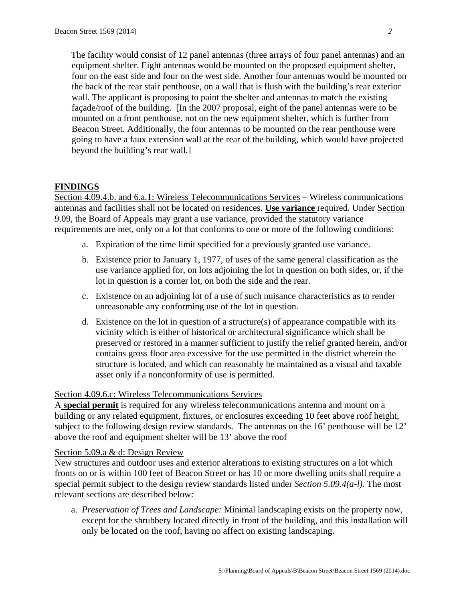The facility would consist of 12 panel antennas (three arrays of four panel antennas) and an equipment shelter. Eight antennas would be mounted on the proposed equipment shelter, four on the east side and four on the west side. Another four antennas would be mounted on the back of the rear stair penthouse, on a wall that is flush with the building's rear exterior wall. The applicant is proposing to paint the shelter and antennas to match the existing façade/roof of the building. [In the 2007 proposal, eight of the panel antennas were to be mounted on a front penthouse, not on the new equipment shelter, which is further from Beacon Street. Additionally, the four antennas to be mounted on the rear penthouse were going to have a faux extension wall at the rear of the building, which would have projected beyond the building's rear wall.]

# **FINDINGS**

Section 4.09.4.b. and 6.a.1: Wireless Telecommunications Services – Wireless communications antennas and facilities shall not be located on residences. **Use variance** required. Under Section 9.09, the Board of Appeals may grant a use variance, provided the statutory variance requirements are met, only on a lot that conforms to one or more of the following conditions:

- a. Expiration of the time limit specified for a previously granted use variance.
- b. Existence prior to January 1, 1977, of uses of the same general classification as the use variance applied for, on lots adjoining the lot in question on both sides, or, if the lot in question is a corner lot, on both the side and the rear.
- c. Existence on an adjoining lot of a use of such nuisance characteristics as to render unreasonable any conforming use of the lot in question.
- d. Existence on the lot in question of a structure(s) of appearance compatible with its vicinity which is either of historical or architectural significance which shall be preserved or restored in a manner sufficient to justify the relief granted herein, and/or contains gross floor area excessive for the use permitted in the district wherein the structure is located, and which can reasonably be maintained as a visual and taxable asset only if a nonconformity of use is permitted.

## Section 4.09.6.c: Wireless Telecommunications Services

A **special permit** is required for any wireless telecommunications antenna and mount on a building or any related equipment, fixtures, or enclosures exceeding 10 feet above roof height, subject to the following design review standards. The antennas on the 16' penthouse will be 12' above the roof and equipment shelter will be 13' above the roof

#### Section 5.09.a & d: Design Review

New structures and outdoor uses and exterior alterations to existing structures on a lot which fronts on or is within 100 feet of Beacon Street or has 10 or more dwelling units shall require a special permit subject to the design review standards listed under *Section 5.09.4(a-l).* The most relevant sections are described below:

a. *Preservation of Trees and Landscape:* Minimal landscaping exists on the property now, except for the shrubbery located directly in front of the building, and this installation will only be located on the roof, having no affect on existing landscaping.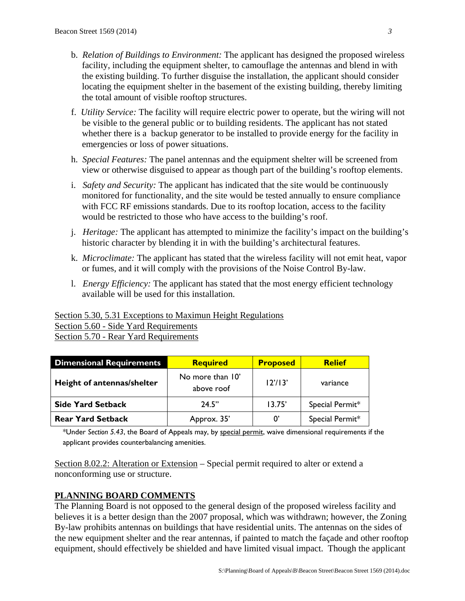- b. *Relation of Buildings to Environment:* The applicant has designed the proposed wireless facility, including the equipment shelter, to camouflage the antennas and blend in with the existing building. To further disguise the installation, the applicant should consider locating the equipment shelter in the basement of the existing building, thereby limiting the total amount of visible rooftop structures.
- f. *Utility Service:* The facility will require electric power to operate, but the wiring will not be visible to the general public or to building residents. The applicant has not stated whether there is a backup generator to be installed to provide energy for the facility in emergencies or loss of power situations.
- h. *Special Features:* The panel antennas and the equipment shelter will be screened from view or otherwise disguised to appear as though part of the building's rooftop elements.
- i. *Safety and Security:* The applicant has indicated that the site would be continuously monitored for functionality, and the site would be tested annually to ensure compliance with FCC RF emissions standards. Due to its rooftop location, access to the facility would be restricted to those who have access to the building's roof.
- j. *Heritage:* The applicant has attempted to minimize the facility's impact on the building's historic character by blending it in with the building's architectural features.
- k. *Microclimate:* The applicant has stated that the wireless facility will not emit heat, vapor or fumes, and it will comply with the provisions of the Noise Control By-law.
- l. *Energy Efficiency:* The applicant has stated that the most energy efficient technology available will be used for this installation.

# Section 5.30, 5.31 Exceptions to Maximun Height Regulations

Section 5.60 - Side Yard Requirements Section 5.70 - Rear Yard Requirements

| <b>Dimensional Requirements</b>                              | <b>Required</b> | <b>Proposed</b> | <b>Relief</b>   |
|--------------------------------------------------------------|-----------------|-----------------|-----------------|
| No more than 10'<br>Height of antennas/shelter<br>above roof |                 | 12'/13'         | variance        |
| <b>Side Yard Setback</b>                                     | 24.5"           | 13.75'          | Special Permit* |
| <b>Rear Yard Setback</b>                                     | Approx. 35'     | $0^{\prime}$    | Special Permit* |

\*Under *Section 5.43*, the Board of Appeals may, by special permit, waive dimensional requirements if the applicant provides counterbalancing amenities.

Section 8.02.2: Alteration or Extension – Special permit required to alter or extend a nonconforming use or structure.

# **PLANNING BOARD COMMENTS**

The Planning Board is not opposed to the general design of the proposed wireless facility and believes it is a better design than the 2007 proposal, which was withdrawn; however, the Zoning By-law prohibits antennas on buildings that have residential units. The antennas on the sides of the new equipment shelter and the rear antennas, if painted to match the façade and other rooftop equipment, should effectively be shielded and have limited visual impact. Though the applicant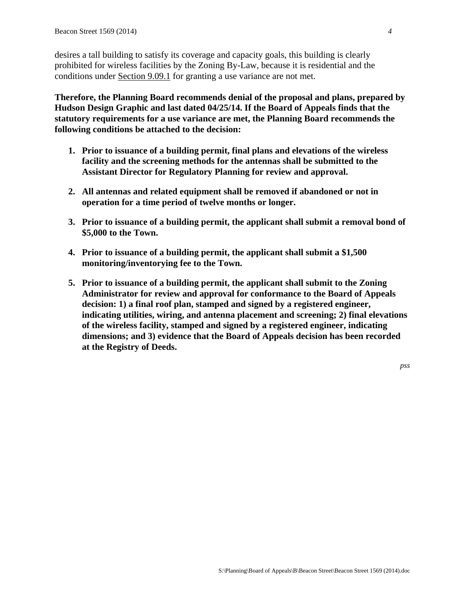desires a tall building to satisfy its coverage and capacity goals, this building is clearly prohibited for wireless facilities by the Zoning By-Law, because it is residential and the conditions under Section 9.09.1 for granting a use variance are not met.

**Therefore, the Planning Board recommends denial of the proposal and plans, prepared by Hudson Design Graphic and last dated 04/25/14. If the Board of Appeals finds that the statutory requirements for a use variance are met, the Planning Board recommends the following conditions be attached to the decision:** 

- **1. Prior to issuance of a building permit, final plans and elevations of the wireless facility and the screening methods for the antennas shall be submitted to the Assistant Director for Regulatory Planning for review and approval.**
- **2. All antennas and related equipment shall be removed if abandoned or not in operation for a time period of twelve months or longer.**
- **3. Prior to issuance of a building permit, the applicant shall submit a removal bond of \$5,000 to the Town.**
- **4. Prior to issuance of a building permit, the applicant shall submit a \$1,500 monitoring/inventorying fee to the Town.**
- **5. Prior to issuance of a building permit, the applicant shall submit to the Zoning Administrator for review and approval for conformance to the Board of Appeals decision: 1) a final roof plan, stamped and signed by a registered engineer, indicating utilities, wiring, and antenna placement and screening; 2) final elevations of the wireless facility, stamped and signed by a registered engineer, indicating dimensions; and 3) evidence that the Board of Appeals decision has been recorded at the Registry of Deeds.**